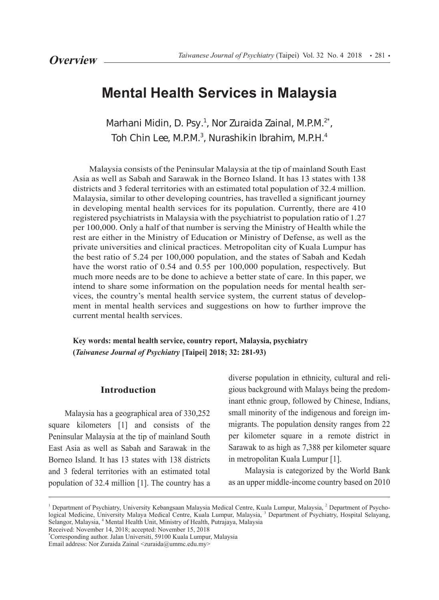# **Mental Health Services in Malaysia**

*Marhani Midin, D. Psy.1 , Nor Zuraida Zainal, M.P.M.2\*, Toh Chin Lee, M.P.M.3 , Nurashikin Ibrahim, M.P.H.4*

Malaysia consists of the Peninsular Malaysia at the tip of mainland South East Asia as well as Sabah and Sarawak in the Borneo Island. It has 13 states with 138 districts and 3 federal territories with an estimated total population of 32.4 million. Malaysia, similar to other developing countries, has travelled a significant journey in developing mental health services for its population. Currently, there are 410 registered psychiatrists in Malaysia with the psychiatrist to population ratio of 1.27 per 100,000. Only a half of that number is serving the Ministry of Health while the rest are either in the Ministry of Education or Ministry of Defense, as well as the private universities and clinical practices. Metropolitan city of Kuala Lumpur has the best ratio of 5.24 per 100,000 population, and the states of Sabah and Kedah have the worst ratio of 0.54 and 0.55 per 100,000 population, respectively. But much more needs are to be done to achieve a better state of care. In this paper, we intend to share some information on the population needs for mental health services, the country's mental health service system, the current status of development in mental health services and suggestions on how to further improve the current mental health services.

**Key words: mental health service, country report, Malaysia, psychiatry (***Taiwanese Journal of Psychiatry* **[Taipei] 2018; 32: 281-93)** 

#### **Introduction**

Malaysia has a geographical area of 330,252 square kilometers [1] and consists of the Peninsular Malaysia at the tip of mainland South East Asia as well as Sabah and Sarawak in the Borneo Island. It has 13 states with 138 districts and 3 federal territories with an estimated total population of 32.4 million [1]. The country has a

diverse population in ethnicity, cultural and religious background with Malays being the predominant ethnic group, followed by Chinese, Indians, small minority of the indigenous and foreign immigrants. The population density ranges from 22 per kilometer square in a remote district in Sarawak to as high as 7,388 per kilometer square in metropolitan Kuala Lumpur [1].

Malaysia is categorized by the World Bank as an upper middle-income country based on 2010

Received: November 14, 2018; accepted: November 15, 2018

<sup>&</sup>lt;sup>1</sup> Department of Psychiatry, University Kebangsaan Malaysia Medical Centre, Kuala Lumpur, Malaysia, <sup>2</sup> Department of Psychological Medicine, University Malaya Medical Centre, Kuala Lumpur, Malaysia, <sup>3</sup> Department of Psychiatry, Hospital Selayang, Selangor, Malaysia, <sup>4</sup> Mental Health Unit, Ministry of Health, Putrajaya, Malaysia

<sup>\*</sup> Corresponding author. Jalan Universiti, 59100 Kuala Lumpur, Malaysia

Email address: Nor Zuraida Zainal <zuraida@ummc.edu.my>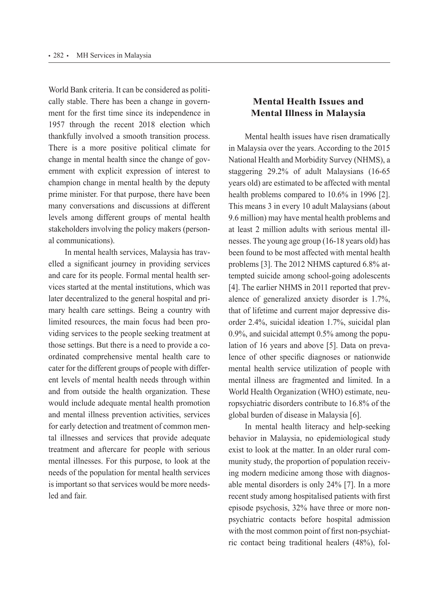World Bank criteria. It can be considered as politically stable. There has been a change in government for the first time since its independence in 1957 through the recent 2018 election which thankfully involved a smooth transition process. There is a more positive political climate for change in mental health since the change of government with explicit expression of interest to champion change in mental health by the deputy prime minister. For that purpose, there have been many conversations and discussions at different levels among different groups of mental health stakeholders involving the policy makers (personal communications).

In mental health services, Malaysia has travelled a significant journey in providing services and care for its people. Formal mental health services started at the mental institutions, which was later decentralized to the general hospital and primary health care settings. Being a country with limited resources, the main focus had been providing services to the people seeking treatment at those settings. But there is a need to provide a coordinated comprehensive mental health care to cater for the different groups of people with different levels of mental health needs through within and from outside the health organization. These would include adequate mental health promotion and mental illness prevention activities, services for early detection and treatment of common mental illnesses and services that provide adequate treatment and aftercare for people with serious mental illnesses. For this purpose, to look at the needs of the population for mental health services is important so that services would be more needsled and fair.

# **Mental Health Issues and Mental Illness in Malaysia**

Mental health issues have risen dramatically in Malaysia over the years. According to the 2015 National Health and Morbidity Survey (NHMS), a staggering 29.2% of adult Malaysians (16-65 years old) are estimated to be affected with mental health problems compared to 10.6% in 1996 [2]. This means 3 in every 10 adult Malaysians (about 9.6 million) may have mental health problems and at least 2 million adults with serious mental illnesses. The young age group (16-18 years old) has been found to be most affected with mental health problems [3]. The 2012 NHMS captured 6.8% attempted suicide among school-going adolescents [4]. The earlier NHMS in 2011 reported that prevalence of generalized anxiety disorder is 1.7%, that of lifetime and current major depressive disorder 2.4%, suicidal ideation 1.7%, suicidal plan 0.9%, and suicidal attempt 0.5% among the population of 16 years and above [5]. Data on prevalence of other specific diagnoses or nationwide mental health service utilization of people with mental illness are fragmented and limited. In a World Health Organization (WHO) estimate, neuropsychiatric disorders contribute to 16.8% of the global burden of disease in Malaysia [6].

In mental health literacy and help-seeking behavior in Malaysia, no epidemiological study exist to look at the matter. In an older rural community study, the proportion of population receiving modern medicine among those with diagnosable mental disorders is only 24% [7]. In a more recent study among hospitalised patients with first episode psychosis, 32% have three or more nonpsychiatric contacts before hospital admission with the most common point of first non-psychiatric contact being traditional healers (48%), fol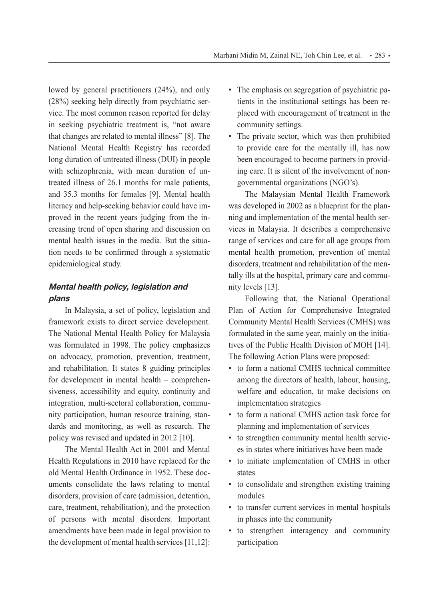lowed by general practitioners (24%), and only (28%) seeking help directly from psychiatric service. The most common reason reported for delay in seeking psychiatric treatment is, "not aware that changes are related to mental illness" [8]. The National Mental Health Registry has recorded long duration of untreated illness (DUI) in people with schizophrenia, with mean duration of untreated illness of 26.1 months for male patients, and 35.3 months for females [9]. Mental health literacy and help-seeking behavior could have improved in the recent years judging from the increasing trend of open sharing and discussion on mental health issues in the media. But the situation needs to be confirmed through a systematic epidemiological study.

# **Mental health policy, legislation and plans**

In Malaysia, a set of policy, legislation and framework exists to direct service development. The National Mental Health Policy for Malaysia was formulated in 1998. The policy emphasizes on advocacy, promotion, prevention, treatment, and rehabilitation. It states 8 guiding principles for development in mental health – comprehensiveness, accessibility and equity, continuity and integration, multi-sectoral collaboration, community participation, human resource training, standards and monitoring, as well as research. The policy was revised and updated in 2012 [10].

The Mental Health Act in 2001 and Mental Health Regulations in 2010 have replaced for the old Mental Health Ordinance in 1952. These documents consolidate the laws relating to mental disorders, provision of care (admission, detention, care, treatment, rehabilitation), and the protection of persons with mental disorders. Important amendments have been made in legal provision to the development of mental health services [11,12]:

- The emphasis on segregation of psychiatric patients in the institutional settings has been replaced with encouragement of treatment in the community settings.
- The private sector, which was then prohibited to provide care for the mentally ill, has now been encouraged to become partners in providing care. It is silent of the involvement of nongovernmental organizations (NGO's).

The Malaysian Mental Health Framework was developed in 2002 as a blueprint for the planning and implementation of the mental health services in Malaysia. It describes a comprehensive range of services and care for all age groups from mental health promotion, prevention of mental disorders, treatment and rehabilitation of the mentally ills at the hospital, primary care and community levels [13].

Following that, the National Operational Plan of Action for Comprehensive Integrated Community Mental Health Services (CMHS) was formulated in the same year, mainly on the initiatives of the Public Health Division of MOH [14]. The following Action Plans were proposed:

- to form a national CMHS technical committee among the directors of health, labour, housing, welfare and education, to make decisions on implementation strategies
- to form a national CMHS action task force for planning and implementation of services
- to strengthen community mental health services in states where initiatives have been made
- to initiate implementation of CMHS in other states
- to consolidate and strengthen existing training modules
- to transfer current services in mental hospitals in phases into the community
- to strengthen interagency and community participation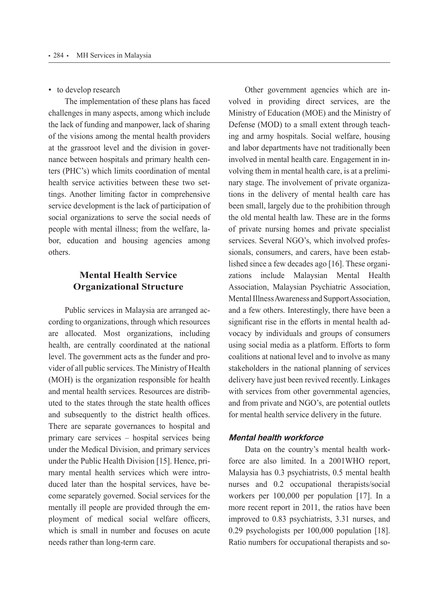• to develop research

The implementation of these plans has faced challenges in many aspects, among which include the lack of funding and manpower, lack of sharing of the visions among the mental health providers at the grassroot level and the division in governance between hospitals and primary health centers (PHC's) which limits coordination of mental health service activities between these two settings. Another limiting factor in comprehensive service development is the lack of participation of social organizations to serve the social needs of people with mental illness; from the welfare, labor, education and housing agencies among others.

# **Mental Health Service Organizational Structure**

Public services in Malaysia are arranged according to organizations, through which resources are allocated. Most organizations, including health, are centrally coordinated at the national level. The government acts as the funder and provider of all public services. The Ministry of Health (MOH) is the organization responsible for health and mental health services. Resources are distributed to the states through the state health offices and subsequently to the district health offices. There are separate governances to hospital and primary care services ‒ hospital services being under the Medical Division, and primary services under the Public Health Division [15]. Hence, primary mental health services which were introduced later than the hospital services, have become separately governed. Social services for the mentally ill people are provided through the employment of medical social welfare officers, which is small in number and focuses on acute needs rather than long-term care.

Other government agencies which are involved in providing direct services, are the Ministry of Education (MOE) and the Ministry of Defense (MOD) to a small extent through teaching and army hospitals. Social welfare, housing and labor departments have not traditionally been involved in mental health care. Engagement in involving them in mental health care, is at a preliminary stage. The involvement of private organizations in the delivery of mental health care has been small, largely due to the prohibition through the old mental health law. These are in the forms of private nursing homes and private specialist services. Several NGO's, which involved professionals, consumers, and carers, have been established since a few decades ago [16]. These organizations include Malaysian Mental Health Association, Malaysian Psychiatric Association, Mental Illness Awareness and Support Association, and a few others. Interestingly, there have been a significant rise in the efforts in mental health advocacy by individuals and groups of consumers using social media as a platform. Efforts to form coalitions at national level and to involve as many stakeholders in the national planning of services delivery have just been revived recently. Linkages with services from other governmental agencies, and from private and NGO's, are potential outlets for mental health service delivery in the future.

#### **Mental health workforce**

Data on the country's mental health workforce are also limited. In a 2001WHO report, Malaysia has 0.3 psychiatrists, 0.5 mental health nurses and 0.2 occupational therapists/social workers per 100,000 per population [17]. In a more recent report in 2011, the ratios have been improved to 0.83 psychiatrists, 3.31 nurses, and 0.29 psychologists per 100,000 population [18]. Ratio numbers for occupational therapists and so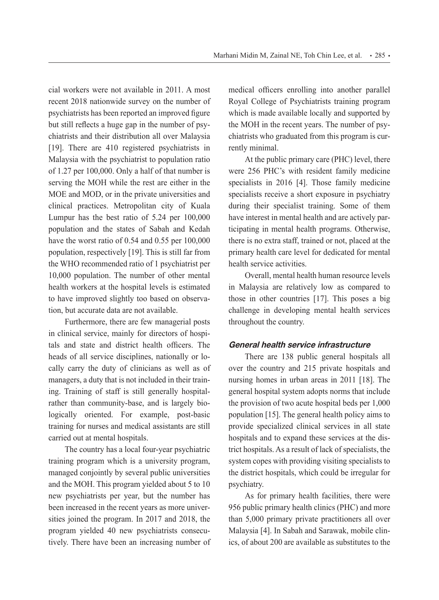cial workers were not available in 2011. A most recent 2018 nationwide survey on the number of psychiatrists has been reported an improved figure but still reflects a huge gap in the number of psychiatrists and their distribution all over Malaysia [19]. There are 410 registered psychiatrists in Malaysia with the psychiatrist to population ratio of 1.27 per 100,000. Only a half of that number is serving the MOH while the rest are either in the MOE and MOD, or in the private universities and clinical practices. Metropolitan city of Kuala Lumpur has the best ratio of 5.24 per 100,000 population and the states of Sabah and Kedah have the worst ratio of 0.54 and 0.55 per 100,000 population, respectively [19]. This is still far from the WHO recommended ratio of 1 psychiatrist per 10,000 population. The number of other mental health workers at the hospital levels is estimated to have improved slightly too based on observation, but accurate data are not available.

Furthermore, there are few managerial posts in clinical service, mainly for directors of hospitals and state and district health officers. The heads of all service disciplines, nationally or locally carry the duty of clinicians as well as of managers, a duty that is not included in their training. Training of staff is still generally hospitalrather than community-base, and is largely biologically oriented. For example, post-basic training for nurses and medical assistants are still carried out at mental hospitals.

The country has a local four-year psychiatric training program which is a university program, managed conjointly by several public universities and the MOH. This program yielded about 5 to 10 new psychiatrists per year, but the number has been increased in the recent years as more universities joined the program. In 2017 and 2018, the program yielded 40 new psychiatrists consecutively. There have been an increasing number of medical officers enrolling into another parallel Royal College of Psychiatrists training program which is made available locally and supported by the MOH in the recent years. The number of psychiatrists who graduated from this program is currently minimal.

At the public primary care (PHC) level, there were 256 PHC's with resident family medicine specialists in 2016 [4]. Those family medicine specialists receive a short exposure in psychiatry during their specialist training. Some of them have interest in mental health and are actively participating in mental health programs. Otherwise, there is no extra staff, trained or not, placed at the primary health care level for dedicated for mental health service activities.

Overall, mental health human resource levels in Malaysia are relatively low as compared to those in other countries [17]. This poses a big challenge in developing mental health services throughout the country.

## **General health service infrastructure**

There are 138 public general hospitals all over the country and 215 private hospitals and nursing homes in urban areas in 2011 [18]. The general hospital system adopts norms that include the provision of two acute hospital beds per 1,000 population [15]. The general health policy aims to provide specialized clinical services in all state hospitals and to expand these services at the district hospitals. As a result of lack of specialists, the system copes with providing visiting specialists to the district hospitals, which could be irregular for psychiatry.

As for primary health facilities, there were 956 public primary health clinics (PHC) and more than 5,000 primary private practitioners all over Malaysia [4]. In Sabah and Sarawak, mobile clinics, of about 200 are available as substitutes to the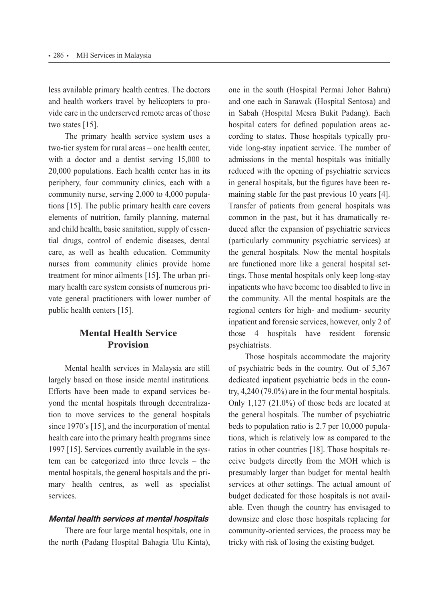less available primary health centres. The doctors and health workers travel by helicopters to provide care in the underserved remote areas of those two states [15].

The primary health service system uses a two-tier system for rural areas – one health center, with a doctor and a dentist serving 15,000 to 20,000 populations. Each health center has in its periphery, four community clinics, each with a community nurse, serving 2,000 to 4,000 populations [15]. The public primary health care covers elements of nutrition, family planning, maternal and child health, basic sanitation, supply of essential drugs, control of endemic diseases, dental care, as well as health education. Community nurses from community clinics provide home treatment for minor ailments [15]. The urban primary health care system consists of numerous private general practitioners with lower number of public health centers [15].

# **Mental Health Service Provision**

Mental health services in Malaysia are still largely based on those inside mental institutions. Efforts have been made to expand services beyond the mental hospitals through decentralization to move services to the general hospitals since 1970's [15], and the incorporation of mental health care into the primary health programs since 1997 [15]. Services currently available in the system can be categorized into three levels  $-$  the mental hospitals, the general hospitals and the primary health centres, as well as specialist services.

## **Mental health services at mental hospitals**

There are four large mental hospitals, one in the north (Padang Hospital Bahagia Ulu Kinta), one in the south (Hospital Permai Johor Bahru) and one each in Sarawak (Hospital Sentosa) and in Sabah (Hospital Mesra Bukit Padang). Each hospital caters for defined population areas according to states. Those hospitals typically provide long-stay inpatient service. The number of admissions in the mental hospitals was initially reduced with the opening of psychiatric services in general hospitals, but the figures have been remaining stable for the past previous 10 years [4]. Transfer of patients from general hospitals was common in the past, but it has dramatically reduced after the expansion of psychiatric services (particularly community psychiatric services) at the general hospitals. Now the mental hospitals are functioned more like a general hospital settings. Those mental hospitals only keep long-stay inpatients who have become too disabled to live in the community. All the mental hospitals are the regional centers for high- and medium- security inpatient and forensic services, however, only 2 of those 4 hospitals have resident forensic psychiatrists.

Those hospitals accommodate the majority of psychiatric beds in the country. Out of 5,367 dedicated inpatient psychiatric beds in the country, 4,240 (79.0%) are in the four mental hospitals. Only 1,127 (21.0%) of those beds are located at the general hospitals. The number of psychiatric beds to population ratio is 2.7 per 10,000 populations, which is relatively low as compared to the ratios in other countries [18]. Those hospitals receive budgets directly from the MOH which is presumably larger than budget for mental health services at other settings. The actual amount of budget dedicated for those hospitals is not available. Even though the country has envisaged to downsize and close those hospitals replacing for community-oriented services, the process may be tricky with risk of losing the existing budget.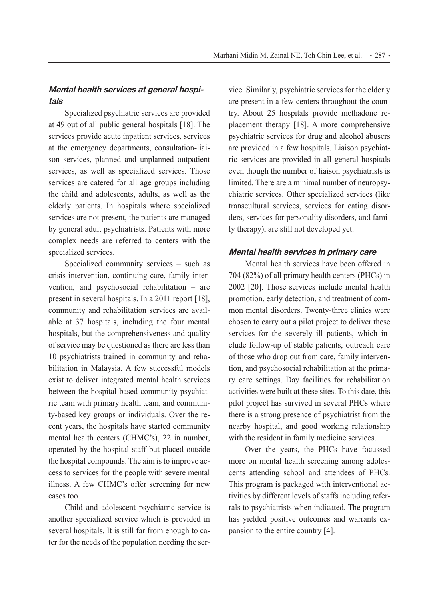## **Mental health services at general hospitals**

Specialized psychiatric services are provided at 49 out of all public general hospitals [18]. The services provide acute inpatient services, services at the emergency departments, consultation-liaison services, planned and unplanned outpatient services, as well as specialized services. Those services are catered for all age groups including the child and adolescents, adults, as well as the elderly patients. In hospitals where specialized services are not present, the patients are managed by general adult psychiatrists. Patients with more complex needs are referred to centers with the specialized services.

Specialized community services – such as crisis intervention, continuing care, family intervention, and psychosocial rehabilitation – are present in several hospitals. In a 2011 report [18], community and rehabilitation services are available at 37 hospitals, including the four mental hospitals, but the comprehensiveness and quality of service may be questioned as there are less than 10 psychiatrists trained in community and rehabilitation in Malaysia. A few successful models exist to deliver integrated mental health services between the hospital-based community psychiatric team with primary health team, and community-based key groups or individuals. Over the recent years, the hospitals have started community mental health centers (CHMC's), 22 in number, operated by the hospital staff but placed outside the hospital compounds. The aim is to improve access to services for the people with severe mental illness. A few CHMC's offer screening for new cases too.

Child and adolescent psychiatric service is another specialized service which is provided in several hospitals. It is still far from enough to cater for the needs of the population needing the service. Similarly, psychiatric services for the elderly are present in a few centers throughout the country. About 25 hospitals provide methadone replacement therapy [18]. A more comprehensive psychiatric services for drug and alcohol abusers are provided in a few hospitals. Liaison psychiatric services are provided in all general hospitals even though the number of liaison psychiatrists is limited. There are a minimal number of neuropsychiatric services. Other specialized services (like transcultural services, services for eating disorders, services for personality disorders, and family therapy), are still not developed yet.

#### **Mental health services in primary care**

Mental health services have been offered in 704 (82%) of all primary health centers (PHCs) in 2002 [20]. Those services include mental health promotion, early detection, and treatment of common mental disorders. Twenty-three clinics were chosen to carry out a pilot project to deliver these services for the severely ill patients, which include follow-up of stable patients, outreach care of those who drop out from care, family intervention, and psychosocial rehabilitation at the primary care settings. Day facilities for rehabilitation activities were built at these sites. To this date, this pilot project has survived in several PHCs where there is a strong presence of psychiatrist from the nearby hospital, and good working relationship with the resident in family medicine services.

Over the years, the PHCs have focussed more on mental health screening among adolescents attending school and attendees of PHCs. This program is packaged with interventional activities by different levels of staffs including referrals to psychiatrists when indicated. The program has yielded positive outcomes and warrants expansion to the entire country [4].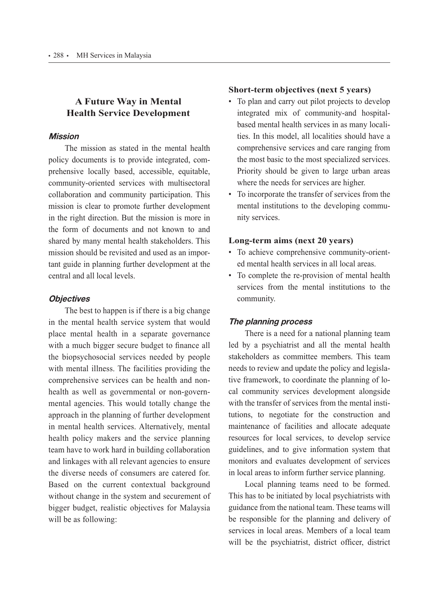# **A Future Way in Mental Health Service Development**

## **Mission**

The mission as stated in the mental health policy documents is to provide integrated, comprehensive locally based, accessible, equitable, community-oriented services with multisectoral collaboration and community participation. This mission is clear to promote further development in the right direction. But the mission is more in the form of documents and not known to and shared by many mental health stakeholders. This mission should be revisited and used as an important guide in planning further development at the central and all local levels.

## **Objectives**

The best to happen is if there is a big change in the mental health service system that would place mental health in a separate governance with a much bigger secure budget to finance all the biopsychosocial services needed by people with mental illness. The facilities providing the comprehensive services can be health and nonhealth as well as governmental or non-governmental agencies. This would totally change the approach in the planning of further development in mental health services. Alternatively, mental health policy makers and the service planning team have to work hard in building collaboration and linkages with all relevant agencies to ensure the diverse needs of consumers are catered for. Based on the current contextual background without change in the system and securement of bigger budget, realistic objectives for Malaysia will be as following:

## **Short-term objectives (next 5 years)**

- To plan and carry out pilot projects to develop integrated mix of community-and hospitalbased mental health services in as many localities. In this model, all localities should have a comprehensive services and care ranging from the most basic to the most specialized services. Priority should be given to large urban areas where the needs for services are higher.
- To incorporate the transfer of services from the mental institutions to the developing community services.

## **Long-term aims (next 20 years)**

- To achieve comprehensive community-oriented mental health services in all local areas.
- To complete the re-provision of mental health services from the mental institutions to the community.

## **The planning process**

There is a need for a national planning team led by a psychiatrist and all the mental health stakeholders as committee members. This team needs to review and update the policy and legislative framework, to coordinate the planning of local community services development alongside with the transfer of services from the mental institutions, to negotiate for the construction and maintenance of facilities and allocate adequate resources for local services, to develop service guidelines, and to give information system that monitors and evaluates development of services in local areas to inform further service planning.

Local planning teams need to be formed. This has to be initiated by local psychiatrists with guidance from the national team. These teams will be responsible for the planning and delivery of services in local areas. Members of a local team will be the psychiatrist, district officer, district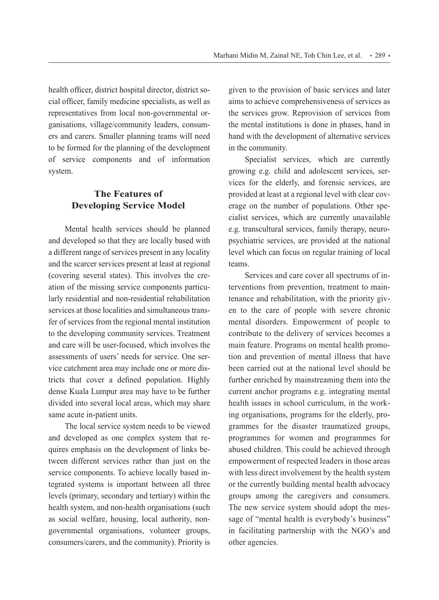health officer, district hospital director, district social officer, family medicine specialists, as well as representatives from local non-governmental organisations, village/community leaders, consumers and carers. Smaller planning teams will need to be formed for the planning of the development of service components and of information system.

# **The Features of Developing Service Model**

Mental health services should be planned and developed so that they are locally based with a different range of services present in any locality and the scarcer services present at least at regional (covering several states). This involves the creation of the missing service components particularly residential and non-residential rehabilitation services at those localities and simultaneous transfer of services from the regional mental institution to the developing community services. Treatment and care will be user-focused, which involves the assessments of users' needs for service. One service catchment area may include one or more districts that cover a defined population. Highly dense Kuala Lumpur area may have to be further divided into several local areas, which may share same acute in-patient units.

The local service system needs to be viewed and developed as one complex system that requires emphasis on the development of links between different services rather than just on the service components. To achieve locally based integrated systems is important between all three levels (primary, secondary and tertiary) within the health system, and non-health organisations (such as social welfare, housing, local authority, nongovernmental organisations, volunteer groups, consumers/carers, and the community). Priority is

given to the provision of basic services and later aims to achieve comprehensiveness of services as the services grow. Reprovision of services from the mental institutions is done in phases, hand in hand with the development of alternative services in the community.

Specialist services, which are currently growing e.g. child and adolescent services, services for the elderly, and forensic services, are provided at least at a regional level with clear coverage on the number of populations. Other specialist services, which are currently unavailable e.g. transcultural services, family therapy, neuropsychiatric services, are provided at the national level which can focus on regular training of local teams.

Services and care cover all spectrums of interventions from prevention, treatment to maintenance and rehabilitation, with the priority given to the care of people with severe chronic mental disorders. Empowerment of people to contribute to the delivery of services becomes a main feature. Programs on mental health promotion and prevention of mental illness that have been carried out at the national level should be further enriched by mainstreaming them into the current anchor programs e.g. integrating mental health issues in school curriculum, in the working organisations, programs for the elderly, programmes for the disaster traumatized groups, programmes for women and programmes for abused children. This could be achieved through empowerment of respected leaders in those areas with less direct involvement by the health system or the currently building mental health advocacy groups among the caregivers and consumers. The new service system should adopt the message of "mental health is everybody's business" in facilitating partnership with the NGO's and other agencies.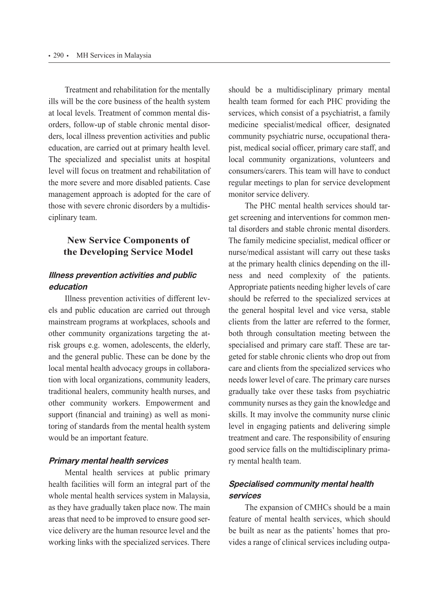Treatment and rehabilitation for the mentally ills will be the core business of the health system at local levels. Treatment of common mental disorders, follow-up of stable chronic mental disorders, local illness prevention activities and public education, are carried out at primary health level. The specialized and specialist units at hospital level will focus on treatment and rehabilitation of the more severe and more disabled patients. Case management approach is adopted for the care of those with severe chronic disorders by a multidisciplinary team.

## **New Service Components of the Developing Service Model**

# **Illness prevention activities and public education**

Illness prevention activities of different levels and public education are carried out through mainstream programs at workplaces, schools and other community organizations targeting the atrisk groups e.g. women, adolescents, the elderly, and the general public. These can be done by the local mental health advocacy groups in collaboration with local organizations, community leaders, traditional healers, community health nurses, and other community workers. Empowerment and support (financial and training) as well as monitoring of standards from the mental health system would be an important feature.

## **Primary mental health services**

Mental health services at public primary health facilities will form an integral part of the whole mental health services system in Malaysia, as they have gradually taken place now. The main areas that need to be improved to ensure good service delivery are the human resource level and the working links with the specialized services. There

should be a multidisciplinary primary mental health team formed for each PHC providing the services, which consist of a psychiatrist, a family medicine specialist/medical officer, designated community psychiatric nurse, occupational therapist, medical social officer, primary care staff, and local community organizations, volunteers and consumers/carers. This team will have to conduct regular meetings to plan for service development monitor service delivery.

The PHC mental health services should target screening and interventions for common mental disorders and stable chronic mental disorders. The family medicine specialist, medical officer or nurse/medical assistant will carry out these tasks at the primary health clinics depending on the illness and need complexity of the patients. Appropriate patients needing higher levels of care should be referred to the specialized services at the general hospital level and vice versa, stable clients from the latter are referred to the former, both through consultation meeting between the specialised and primary care staff. These are targeted for stable chronic clients who drop out from care and clients from the specialized services who needs lower level of care. The primary care nurses gradually take over these tasks from psychiatric community nurses as they gain the knowledge and skills. It may involve the community nurse clinic level in engaging patients and delivering simple treatment and care. The responsibility of ensuring good service falls on the multidisciplinary primary mental health team.

# **Specialised community mental health services**

The expansion of CMHCs should be a main feature of mental health services, which should be built as near as the patients' homes that provides a range of clinical services including outpa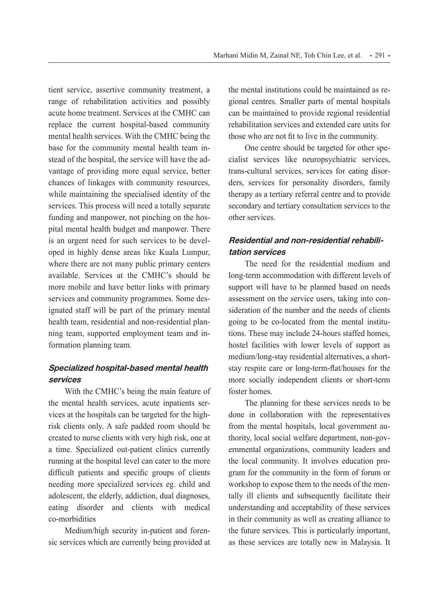tient service, assertive community treatment, a range of rehabilitation activities and possibly acute home treatment. Services at the CMHC can replace the current hospital-based community mental health services. With the CMHC being the base for the community mental health team instead of the hospital, the service will have the advantage of providing more equal service, better chances of linkages with community resources, while maintaining the specialised identity of the services. This process will need a totally separate funding and manpower, not pinching on the hospital mental health budget and manpower. There is an urgent need for such services to be developed in highly dense areas like Kuala Lumpur, where there are not many public primary centers available. Services at the CMHC's should be more mobile and have better links with primary services and community programmes. Some designated staff will be part of the primary mental health team, residential and non-residential planning team, supported employment team and information planning team.

# **Specialized hospital-based mental health services**

With the CMHC's being the main feature of the mental health services, acute inpatients services at the hospitals can be targeted for the highrisk clients only. A safe padded room should be created to nurse clients with very high risk, one at a time. Specialized out-patient clinics currently running at the hospital level can cater to the more difficult patients and specific groups of clients needing more specialized services eg. child and adolescent, the elderly, addiction, dual diagnoses, eating disorder and clients with medical co-morbidities

Medium/high security in-patient and forensic services which are currently being provided at the mental institutions could be maintained as regional centres. Smaller parts of mental hospitals can be maintained to provide regional residential rehabilitation services and extended care units for those who are not fit to live in the community.

One centre should be targeted for other specialist services like neuropsychiatric services, trans-cultural services, services for eating disorders, services for personality disorders, family therapy as a tertiary referral centre and to provide secondary and tertiary consultation services to the other services.

## **Residential and non-residential rehabilitation services**

The need for the residential medium and long-term accommodation with different levels of support will have to be planned based on needs assessment on the service users, taking into consideration of the number and the needs of clients going to be co-located from the mental institutions. These may include 24-hours staffed homes, hostel facilities with lower levels of support as medium/long-stay residential alternatives, a shortstay respite care or long-term-flat/houses for the more socially independent clients or short-term foster homes.

The planning for these services needs to be done in collaboration with the representatives from the mental hospitals, local government authority, local social welfare department, non-governmental organizations, community leaders and the local community. It involves education program for the community in the form of forum or workshop to expose them to the needs of the mentally ill clients and subsequently facilitate their understanding and acceptability of these services in their community as well as creating alliance to the future services. This is particularly important, as these services are totally new in Malaysia. It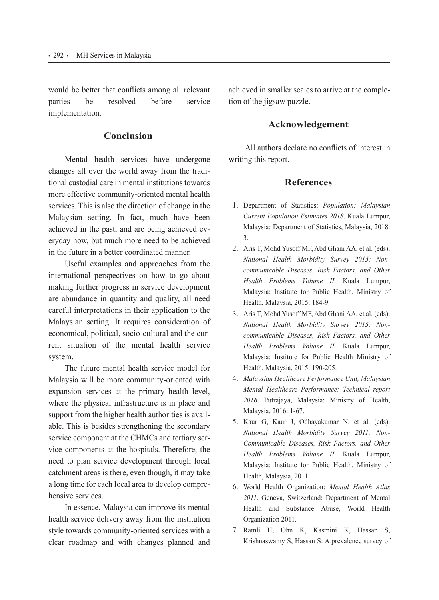would be better that conflicts among all relevant parties be resolved before service implementation.

## **Conclusion**

Mental health services have undergone changes all over the world away from the traditional custodial care in mental institutions towards more effective community-oriented mental health services. This is also the direction of change in the Malaysian setting. In fact, much have been achieved in the past, and are being achieved everyday now, but much more need to be achieved in the future in a better coordinated manner.

Useful examples and approaches from the international perspectives on how to go about making further progress in service development are abundance in quantity and quality, all need careful interpretations in their application to the Malaysian setting. It requires consideration of economical, political, socio-cultural and the current situation of the mental health service system.

The future mental health service model for Malaysia will be more community-oriented with expansion services at the primary health level, where the physical infrastructure is in place and support from the higher health authorities is available. This is besides strengthening the secondary service component at the CHMCs and tertiary service components at the hospitals. Therefore, the need to plan service development through local catchment areas is there, even though, it may take a long time for each local area to develop comprehensive services.

In essence, Malaysia can improve its mental health service delivery away from the institution style towards community-oriented services with a clear roadmap and with changes planned and

achieved in smaller scales to arrive at the completion of the jigsaw puzzle.

## **Acknowledgement**

All authors declare no conflicts of interest in writing this report.

## **References**

- 1. Department of Statistics: *Population: Malaysian Current Population Estimates 2018*. Kuala Lumpur, Malaysia: Department of Statistics, Malaysia, 2018: 3.
- 2. Aris T, Mohd Yusoff MF, Abd Ghani AA, et al. (eds): *National Health Morbidity Survey 2015: Noncommunicable Diseases, Risk Factors, and Other Health Problems Volume II*. Kuala Lumpur, Malaysia: Institute for Public Health, Ministry of Health, Malaysia, 2015: 184-9.
- 3. Aris T, Mohd Yusoff MF, Abd Ghani AA, et al. (eds): *National Health Morbidity Survey 2015: Noncommunicable Diseases, Risk Factors, and Other Health Problems Volume II*. Kuala Lumpur, Malaysia: Institute for Public Health Ministry of Health, Malaysia, 2015: 190-205.
- 4. *Malaysian Healthcare Performance Unit, Malaysian Mental Healthcare Performance: Technical report 2016*. Putrajaya, Malaysia: Ministry of Health, Malaysia, 2016: 1-67.
- 5. Kaur G, Kaur J, Odhayakumar N, et al. (eds): *National Health Morbidity Survey 2011: Non-Communicable Diseases, Risk Factors, and Other Health Problems Volume II*. Kuala Lumpur, Malaysia: Institute for Public Health, Ministry of Health, Malaysia, 2011.
- 6. World Health Organization: *Mental Health Atlas 2011*. Geneva, Switzerland: Department of Mental Health and Substance Abuse, World Health Organization 2011.
- 7. Ramli H, Ohn K, Kasmini K, Hassan S, Krishnaswamy S, Hassan S: A prevalence survey of